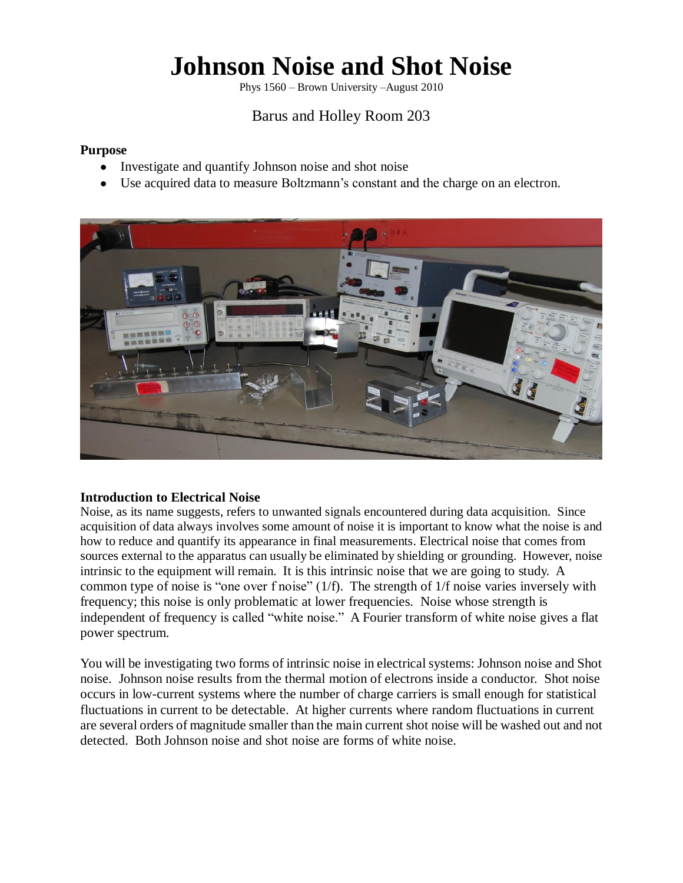# **Johnson Noise and Shot Noise**

Phys 1560 – Brown University –August 2010

## Barus and Holley Room 203

## **Purpose**

- Investigate and quantify Johnson noise and shot noise
- $\bullet$ Use acquired data to measure Boltzmann's constant and the charge on an electron.



## **Introduction to Electrical Noise**

Noise, as its name suggests, refers to unwanted signals encountered during data acquisition. Since acquisition of data always involves some amount of noise it is important to know what the noise is and how to reduce and quantify its appearance in final measurements. Electrical noise that comes from sources external to the apparatus can usually be eliminated by shielding or grounding. However, noise intrinsic to the equipment will remain. It is this intrinsic noise that we are going to study. A common type of noise is "one over f noise"  $(1/f)$ . The strength of  $1/f$  noise varies inversely with frequency; this noise is only problematic at lower frequencies. Noise whose strength is independent of frequency is called "white noise." A Fourier transform of white noise gives a flat power spectrum.

You will be investigating two forms of intrinsic noise in electrical systems: Johnson noise and Shot noise. Johnson noise results from the thermal motion of electrons inside a conductor. Shot noise occurs in low-current systems where the number of charge carriers is small enough for statistical fluctuations in current to be detectable. At higher currents where random fluctuations in current are several orders of magnitude smaller than the main current shot noise will be washed out and not detected. Both Johnson noise and shot noise are forms of white noise.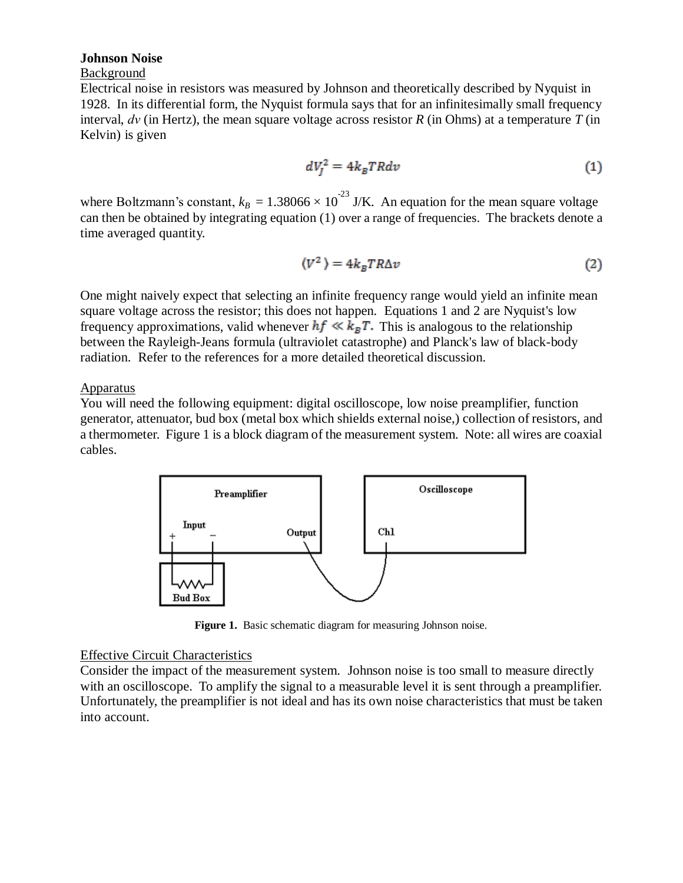#### **Johnson Noise**

## Background

Electrical noise in resistors was measured by Johnson and theoretically described by Nyquist in 1928. In its differential form, the Nyquist formula says that for an infinitesimally small frequency interval, *dν* (in Hertz), the mean square voltage across resistor *R* (in Ohms) at a temperature *T* (in Kelvin) is given

$$
dV_l^2 = 4k_B TRdv \tag{1}
$$

where Boltzmann's constant,  $k_B = 1.38066 \times 10^{-23}$  J/K. An equation for the mean square voltage can then be obtained by integrating equation (1) over a range of frequencies. The brackets denote a time averaged quantity.

$$
\langle V^2 \rangle = 4k_B TR\Delta v \tag{2}
$$

One might naively expect that selecting an infinite frequency range would yield an infinite mean square voltage across the resistor; this does not happen. Equations 1 and 2 are Nyquist's low frequency approximations, valid whenever  $hf \ll k_B T$ . This is analogous to the relationship between the Rayleigh-Jeans formula (ultraviolet catastrophe) and Planck's law of black-body radiation. Refer to the references for a more detailed theoretical discussion.

## **Apparatus**

You will need the following equipment: digital oscilloscope, low noise preamplifier, function generator, attenuator, bud box (metal box which shields external noise,) collection of resistors, and a thermometer. Figure 1 is a block diagram of the measurement system. Note: all wires are coaxial cables.



**Figure 1.** Basic schematic diagram for measuring Johnson noise.

## Effective Circuit Characteristics

Consider the impact of the measurement system. Johnson noise is too small to measure directly with an oscilloscope. To amplify the signal to a measurable level it is sent through a preamplifier. Unfortunately, the preamplifier is not ideal and has its own noise characteristics that must be taken into account.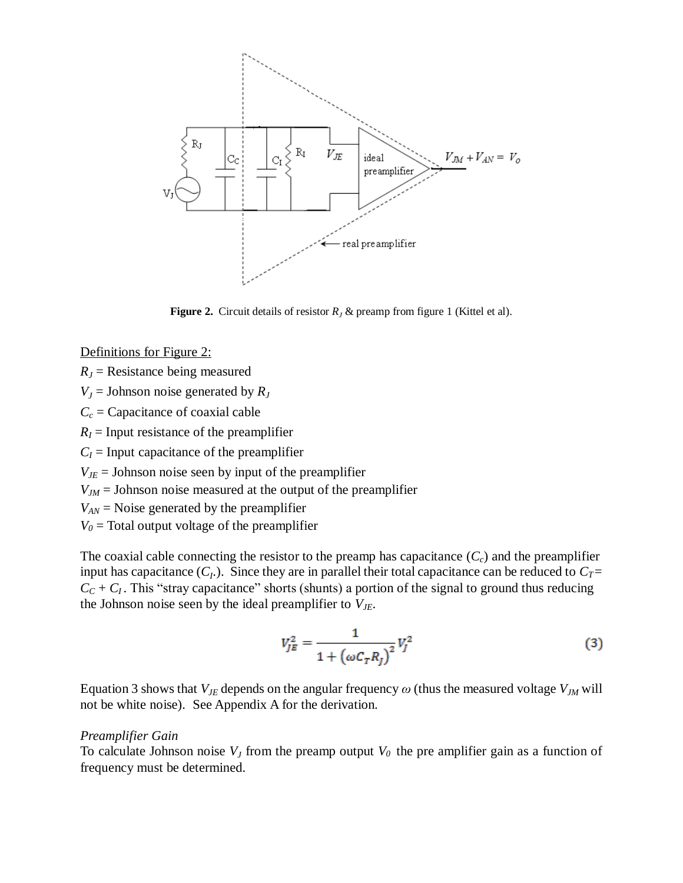

**Figure 2.** Circuit details of resistor  $R<sub>J</sub>$  & preamp from figure 1 (Kittel et al).

Definitions for Figure 2:

 $R_J$  = Resistance being measured

 $V_J$  = Johnson noise generated by  $R_J$ 

 $C_c$  = Capacitance of coaxial cable

 $R_I$  = Input resistance of the preamplifier

 $C_I$  = Input capacitance of the preamplifier

 $V_{\text{JE}}$  = Johnson noise seen by input of the preamplifier

*VJM* = Johnson noise measured at the output of the preamplifier

*VAN* = Noise generated by the preamplifier

 $V_0$  = Total output voltage of the preamplifier

The coaxial cable connecting the resistor to the preamp has capacitance (*Cc*) and the preamplifier input has capacitance  $(C_I)$ . Since they are in parallel their total capacitance can be reduced to  $C_I$  =  $C_C + C_I$ . This "stray capacitance" shorts (shunts) a portion of the signal to ground thus reducing the Johnson noise seen by the ideal preamplifier to *VJE*.

$$
V_{JE}^{2} = \frac{1}{1 + (\omega C_{T} R_{I})^{2}} V_{I}^{2}
$$
 (3)

Equation 3 shows that  $V_{JE}$  depends on the angular frequency  $\omega$  (thus the measured voltage  $V_{JM}$  will not be white noise). See Appendix A for the derivation.

#### *Preamplifier Gain*

To calculate Johnson noise  $V_J$  from the preamp output  $V_0$  the pre amplifier gain as a function of frequency must be determined.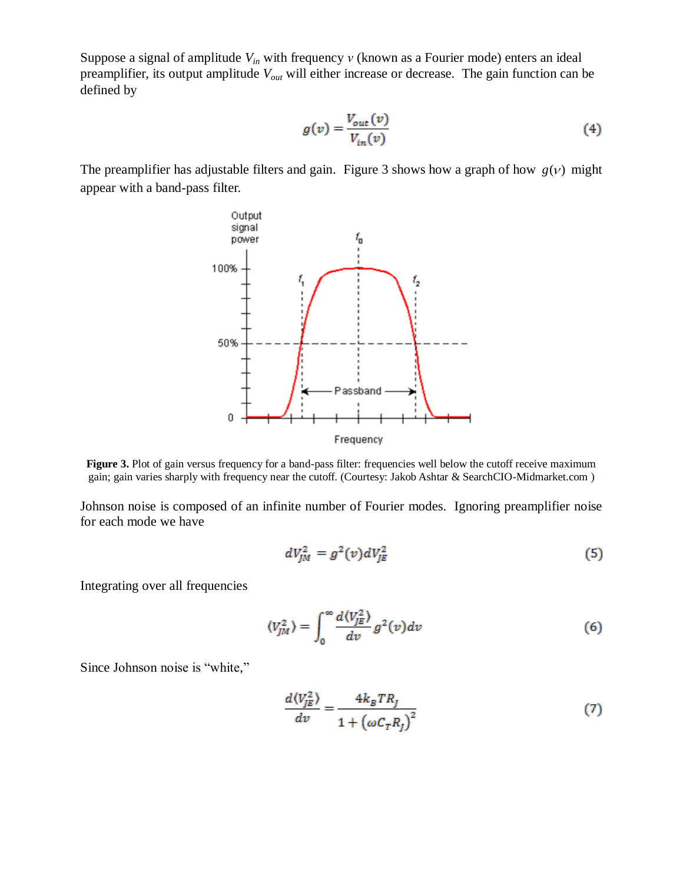Suppose a signal of amplitude *Vin* with frequency *ν* (known as a Fourier mode) enters an ideal preamplifier, its output amplitude *Vout* will either increase or decrease. The gain function can be defined by

$$
g(v) = \frac{V_{out}(v)}{V_{in}(v)}
$$
\n<sup>(4)</sup>

The preamplifier has adjustable filters and gain. Figure 3 shows how a graph of how  $g(v)$  might appear with a band-pass filter.



**Figure 3.** Plot of gain versus frequency for a band-pass filter: frequencies well below the cutoff receive maximum gain; gain varies sharply with frequency near the cutoff. (Courtesy: Jakob Ashtar & SearchCIO-Midmarket.com )

Johnson noise is composed of an infinite number of Fourier modes. Ignoring preamplifier noise for each mode we have

$$
dV_{JM}^2 = g^2(v)dV_{JE}^2
$$
\n<sup>(5)</sup>

Integrating over all frequencies

$$
\langle V_{JM}^2 \rangle = \int_0^\infty \frac{d \langle V_{JK}^2 \rangle}{dv} g^2(v) dv \tag{6}
$$

Since Johnson noise is "white,"

$$
\frac{d\langle V_{JE}^2 \rangle}{dv} = \frac{4k_BTR_J}{1 + \left(\omega C_T R_I\right)^2} \tag{7}
$$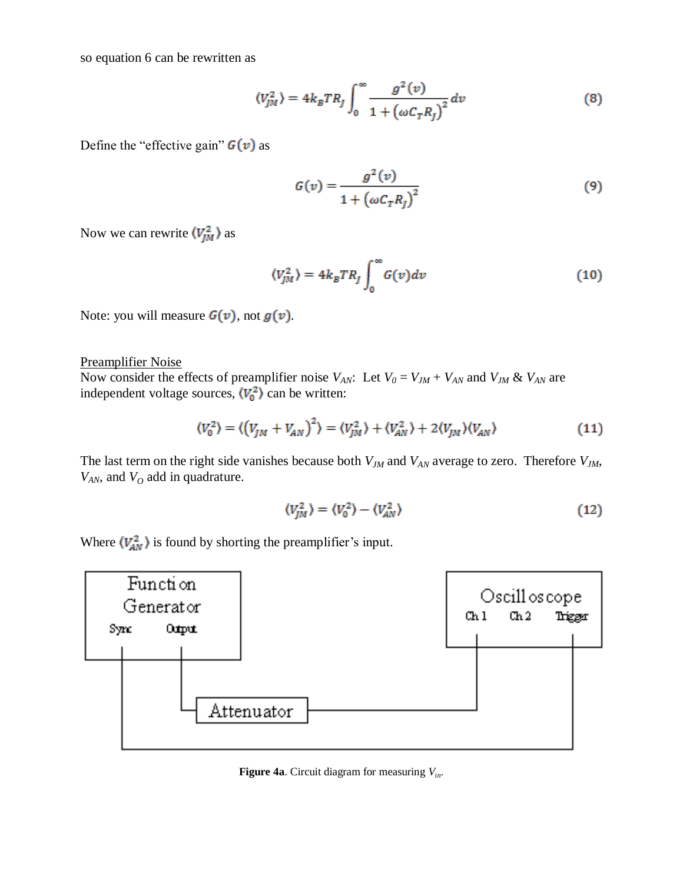so equation 6 can be rewritten as

$$
\langle V_{JM}^2 \rangle = 4k_BTR_J \int_0^\infty \frac{g^2(v)}{1 + \left(\omega C_T R_J\right)^2} dv \tag{8}
$$

Define the "effective gain"  $G(v)$  as

$$
G(v) = \frac{g^2(v)}{1 + \left(\omega C_T R_J\right)^2} \tag{9}
$$

Now we can rewrite  $\langle V_{JM}^2 \rangle$  as

$$
\langle V_{JM}^2 \rangle = 4k_BTR_J \int_0^\infty G(v)dv \tag{10}
$$

Note: you will measure  $G(v)$ , not  $g(v)$ .

Preamplifier Noise

Now consider the effects of preamplifier noise  $V_{AN}$ : Let  $V_0 = V_{JM} + V_{AN}$  and  $V_{JM}$  &  $V_{AN}$  are independent voltage sources,  $\langle V_0^2 \rangle$  can be written:

$$
\langle V_0^2 \rangle = \langle \left(V_{JM} + V_{AN}\right)^2 \rangle = \langle V_{JM}^2 \rangle + \langle V_{AN}^2 \rangle + 2 \langle V_{JM} \rangle \langle V_{AN} \rangle \tag{11}
$$

The last term on the right side vanishes because both *VJM* and *VAN* average to zero. Therefore *VJM*, *VAN*, and *V<sup>O</sup>* add in quadrature.

$$
\langle V_{IM}^2 \rangle = \langle V_0^2 \rangle - \langle V_{AN}^2 \rangle \tag{12}
$$

Where  $\langle V_{AN}^2 \rangle$  is found by shorting the preamplifier's input.



**Figure 4a**. Circuit diagram for measuring *Vin*.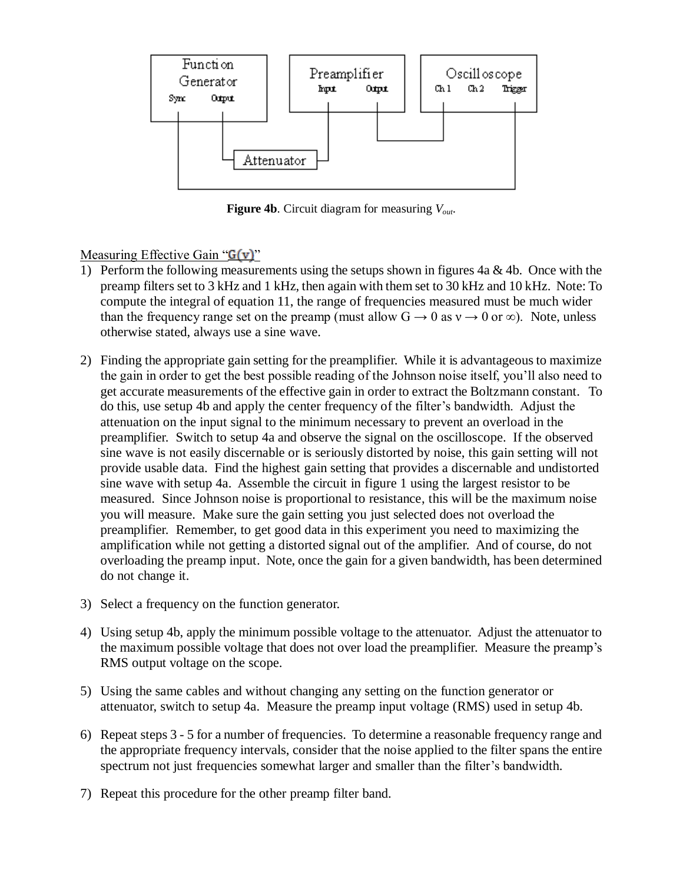

**Figure 4b**. Circuit diagram for measuring *Vout*.

Measuring Effective Gain " $G(v)$ "

- 1) Perform the following measurements using the setups shown in figures  $4a \& 4b$ . Once with the preamp filters set to 3 kHz and 1 kHz, then again with them set to 30 kHz and 10 kHz. Note: To compute the integral of equation 11, the range of frequencies measured must be much wider than the frequency range set on the preamp (must allow  $G \rightarrow 0$  as  $v \rightarrow 0$  or  $\infty$ ). Note, unless otherwise stated, always use a sine wave.
- 2) Finding the appropriate gain setting for the preamplifier. While it is advantageous to maximize the gain in order to get the best possible reading of the Johnson noise itself, you'll also need to get accurate measurements of the effective gain in order to extract the Boltzmann constant. To do this, use setup 4b and apply the center frequency of the filter's bandwidth. Adjust the attenuation on the input signal to the minimum necessary to prevent an overload in the preamplifier. Switch to setup 4a and observe the signal on the oscilloscope. If the observed sine wave is not easily discernable or is seriously distorted by noise, this gain setting will not provide usable data. Find the highest gain setting that provides a discernable and undistorted sine wave with setup 4a. Assemble the circuit in figure 1 using the largest resistor to be measured. Since Johnson noise is proportional to resistance, this will be the maximum noise you will measure. Make sure the gain setting you just selected does not overload the preamplifier. Remember, to get good data in this experiment you need to maximizing the amplification while not getting a distorted signal out of the amplifier. And of course, do not overloading the preamp input. Note, once the gain for a given bandwidth, has been determined do not change it.
- 3) Select a frequency on the function generator.
- 4) Using setup 4b, apply the minimum possible voltage to the attenuator. Adjust the attenuator to the maximum possible voltage that does not over load the preamplifier. Measure the preamp's RMS output voltage on the scope.
- 5) Using the same cables and without changing any setting on the function generator or attenuator, switch to setup 4a. Measure the preamp input voltage (RMS) used in setup 4b.
- 6) Repeat steps 3 5 for a number of frequencies. To determine a reasonable frequency range and the appropriate frequency intervals, consider that the noise applied to the filter spans the entire spectrum not just frequencies somewhat larger and smaller than the filter's bandwidth.
- 7) Repeat this procedure for the other preamp filter band.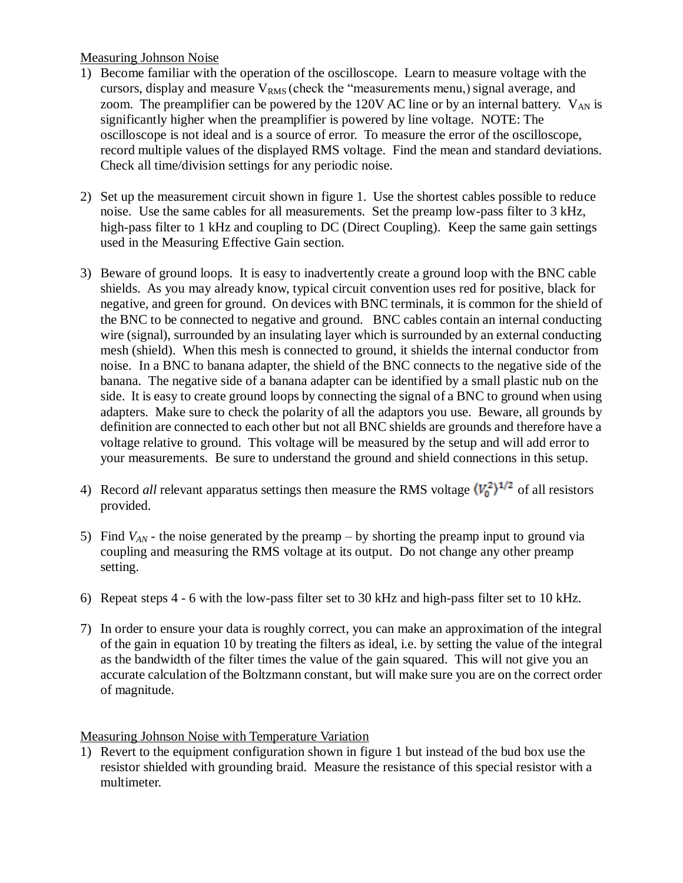## Measuring Johnson Noise

- 1) Become familiar with the operation of the oscilloscope. Learn to measure voltage with the cursors, display and measure  $V_{RMS}$  (check the "measurements menu,) signal average, and zoom. The preamplifier can be powered by the 120V AC line or by an internal battery.  $V_{AN}$  is significantly higher when the preamplifier is powered by line voltage. NOTE: The oscilloscope is not ideal and is a source of error. To measure the error of the oscilloscope, record multiple values of the displayed RMS voltage. Find the mean and standard deviations. Check all time/division settings for any periodic noise.
- 2) Set up the measurement circuit shown in figure 1. Use the shortest cables possible to reduce noise. Use the same cables for all measurements. Set the preamp low-pass filter to 3 kHz, high-pass filter to 1 kHz and coupling to DC (Direct Coupling). Keep the same gain settings used in the Measuring Effective Gain section.
- 3) Beware of ground loops. It is easy to inadvertently create a ground loop with the BNC cable shields. As you may already know, typical circuit convention uses red for positive, black for negative, and green for ground. On devices with BNC terminals, it is common for the shield of the BNC to be connected to negative and ground. BNC cables contain an internal conducting wire (signal), surrounded by an insulating layer which is surrounded by an external conducting mesh (shield). When this mesh is connected to ground, it shields the internal conductor from noise. In a BNC to banana adapter, the shield of the BNC connects to the negative side of the banana. The negative side of a banana adapter can be identified by a small plastic nub on the side. It is easy to create ground loops by connecting the signal of a BNC to ground when using adapters. Make sure to check the polarity of all the adaptors you use. Beware, all grounds by definition are connected to each other but not all BNC shields are grounds and therefore have a voltage relative to ground. This voltage will be measured by the setup and will add error to your measurements. Be sure to understand the ground and shield connections in this setup.
- 4) Record *all* relevant apparatus settings then measure the RMS voltage  $\langle V_0^2 \rangle^{1/2}$  of all resistors provided.
- 5) Find *VAN* the noise generated by the preamp by shorting the preamp input to ground via coupling and measuring the RMS voltage at its output. Do not change any other preamp setting.
- 6) Repeat steps 4 6 with the low-pass filter set to 30 kHz and high-pass filter set to 10 kHz.
- 7) In order to ensure your data is roughly correct, you can make an approximation of the integral of the gain in equation 10 by treating the filters as ideal, i.e. by setting the value of the integral as the bandwidth of the filter times the value of the gain squared. This will not give you an accurate calculation of the Boltzmann constant, but will make sure you are on the correct order of magnitude.

## Measuring Johnson Noise with Temperature Variation

1) Revert to the equipment configuration shown in figure 1 but instead of the bud box use the resistor shielded with grounding braid. Measure the resistance of this special resistor with a multimeter.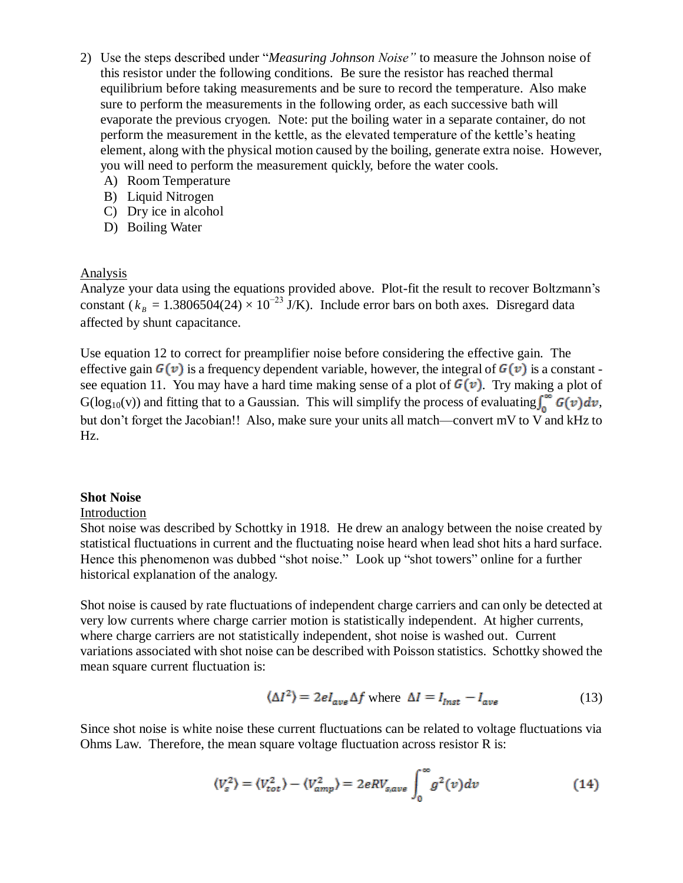- 2) Use the steps described under "Measuring Johnson Noise" to measure the Johnson noise of this resistor under the following conditions. Be sure the resistor has reached thermal equilibrium before taking measurements and be sure to record the temperature. Also make sure to perform the measurements in the following order, as each successive bath will evaporate the previous cryogen. Note: put the boiling water in a separate container, do not perform the measurement in the kettle, as the elevated temperature of the kettle's heating element, along with the physical motion caused by the boiling, generate extra noise. However, you will need to perform the measurement quickly, before the water cools.
	- A) Room Temperature
	- B) Liquid Nitrogen
	- C) Dry ice in alcohol
	- D) Boiling Water

## Analysis

Analyze your data using the equations provided above. Plot-fit the result to recover Boltzmann's constant ( $k_B = 1.3806504(24) \times 10^{-23}$  J/K). Include error bars on both axes. Disregard data affected by shunt capacitance.

Use equation 12 to correct for preamplifier noise before considering the effective gain. The effective gain  $G(v)$  is a frequency dependent variable, however, the integral of  $G(v)$  is a constant see equation 11. You may have a hard time making sense of a plot of  $G(v)$ . Try making a plot of  $G(log_{10}(v))$  and fitting that to a Gaussian. This will simplify the process of evaluating  $\int_0^\infty G(v) dv$ , but don't forget the Jacobian!! Also, make sure your units all match—convert mV to V and kHz to Hz.

#### **Shot Noise**

#### Introduction

Shot noise was described by Schottky in 1918. He drew an analogy between the noise created by statistical fluctuations in current and the fluctuating noise heard when lead shot hits a hard surface. Hence this phenomenon was dubbed "shot noise." Look up "shot towers" online for a further historical explanation of the analogy.

Shot noise is caused by rate fluctuations of independent charge carriers and can only be detected at very low currents where charge carrier motion is statistically independent. At higher currents, where charge carriers are not statistically independent, shot noise is washed out. Current variations associated with shot noise can be described with Poisson statistics. Schottky showed the mean square current fluctuation is:

$$
\langle \Delta I^2 \rangle = 2el_{ave} \Delta f \text{ where } \Delta I = I_{inst} - I_{ave}
$$
 (13)

Since shot noise is white noise these current fluctuations can be related to voltage fluctuations via Ohms Law. Therefore, the mean square voltage fluctuation across resistor R is:

$$
\langle V_s^2 \rangle = \langle V_{tot}^2 \rangle - \langle V_{amp}^2 \rangle = 2eRV_{s,ave} \int_0^\infty g^2(v) dv \tag{14}
$$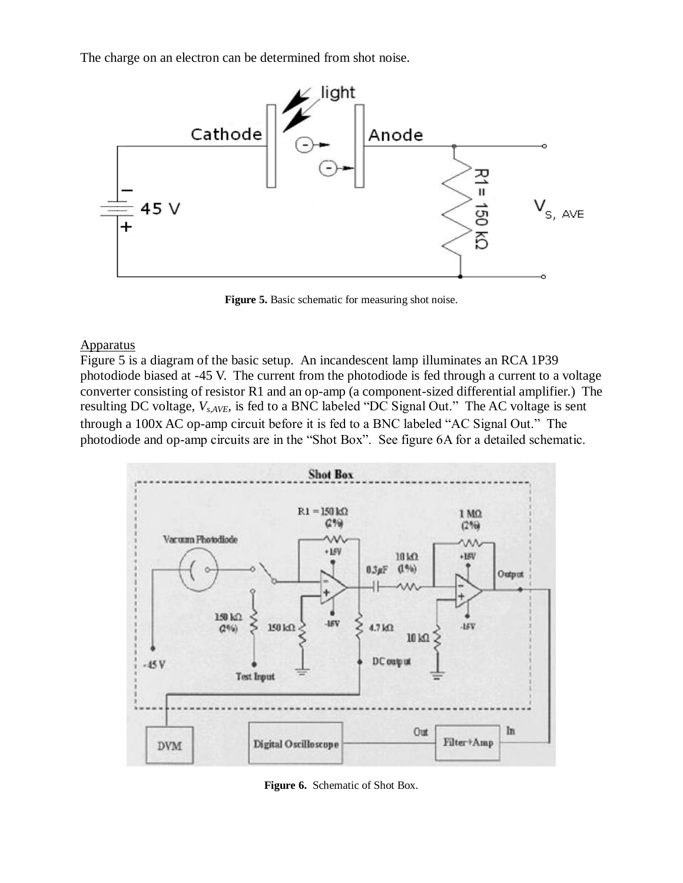The charge on an electron can be determined from shot noise.



**Figure 5.** Basic schematic for measuring shot noise.

#### **Apparatus**

Figure 5 is a diagram of the basic setup. An incandescent lamp illuminates an RCA 1P39 photodiode biased at -45 V. The current from the photodiode is fed through a current to a voltage converter consisting of resistor R1 and an op-amp (a component-sized differential amplifier.) The resulting DC voltage,  $V_{s, AVE}$  is fed to a BNC labeled "DC Signal Out." The AC voltage is sent through a 100x AC op-amp circuit before it is fed to a BNC labeled "AC Signal Out." The photodiode and op-amp circuits are in the "Shot Box". See figure 6A for a detailed schematic.



**Figure 6.** Schematic of Shot Box.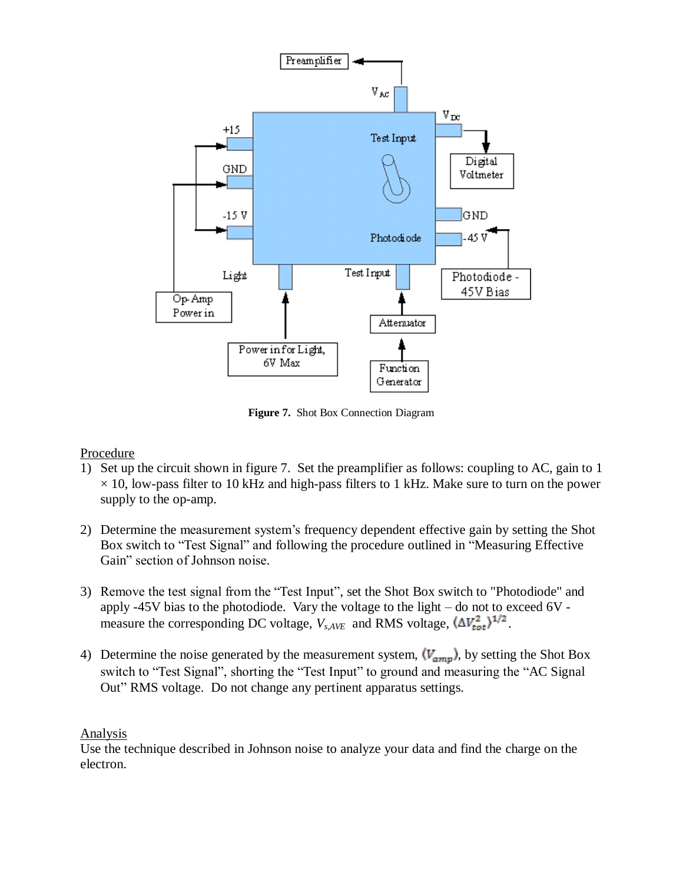

**Figure 7.** Shot Box Connection Diagram

## Procedure

- 1) Set up the circuit shown in figure 7. Set the preamplifier as follows: coupling to AC, gain to 1  $\times$  10, low-pass filter to 10 kHz and high-pass filters to 1 kHz. Make sure to turn on the power supply to the op-amp.
- 2) Determine the measurement system's frequency dependent effective gain by setting the Shot Box switch to "Test Signal" and following the procedure outlined in "Measuring Effective Gain" section of Johnson noise.
- 3) Remove the test signal from the "Test Input", set the Shot Box switch to "Photodiode" and apply -45V bias to the photodiode. Vary the voltage to the light – do not to exceed 6V measure the corresponding DC voltage,  $V_{s, AVE}$  and RMS voltage,  $(\Delta V_{tot}^2)^{1/2}$ .
- 4) Determine the noise generated by the measurement system,  $\langle V_{amp} \rangle$ , by setting the Shot Box switch to "Test Signal", shorting the "Test Input" to ground and measuring the "AC Signal" Out" RMS voltage. Do not change any pertinent apparatus settings.

## **Analysis**

Use the technique described in Johnson noise to analyze your data and find the charge on the electron.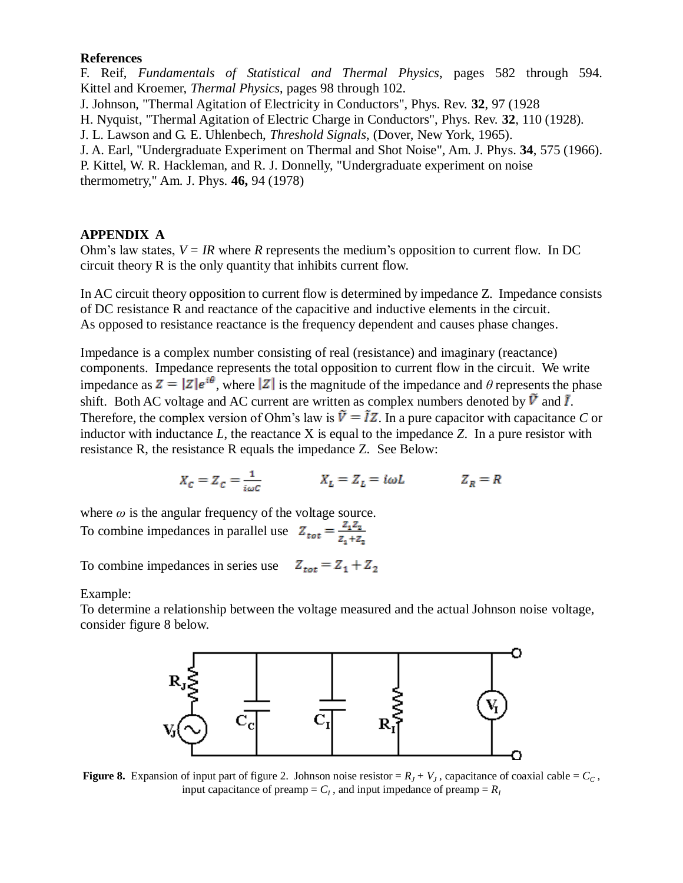#### **References**

F. Reif, *Fundamentals of Statistical and Thermal Physics*, pages 582 through 594. Kittel and Kroemer, *Thermal Physics*, pages 98 through 102. J. Johnson, "Thermal Agitation of Electricity in Conductors", Phys. Rev. **32**, 97 (1928 H. Nyquist, "Thermal Agitation of Electric Charge in Conductors", Phys. Rev. **32**, 110 (1928).

J. L. Lawson and G. E. Uhlenbech, *Threshold Signals*, (Dover, New York, 1965).

J. A. Earl, "Undergraduate Experiment on Thermal and Shot Noise", Am. J. Phys. **34**, 575 (1966).

P. Kittel, W. R. Hackleman, and R. J. Donnelly, "Undergraduate experiment on noise thermometry," Am. J. Phys. **46,** 94 (1978)

## **APPENDIX A**

Ohm's law states,  $V = IR$  where *R* represents the medium's opposition to current flow. In DC circuit theory R is the only quantity that inhibits current flow.

In AC circuit theory opposition to current flow is determined by impedance Z. Impedance consists of DC resistance R and reactance of the capacitive and inductive elements in the circuit. As opposed to resistance reactance is the frequency dependent and causes phase changes.

Impedance is a complex number consisting of real (resistance) and imaginary (reactance) components. Impedance represents the total opposition to current flow in the circuit. We write impedance as  $Z = |Z|e^{i\theta}$ , where |Z| is the magnitude of the impedance and  $\theta$  represents the phase shift. Both AC voltage and AC current are written as complex numbers denoted by  $\tilde{V}$  and  $\tilde{I}$ . Therefore, the complex version of Ohm's law is  $\tilde{V} = IZ$ . In a pure capacitor with capacitance *C* or inductor with inductance *L*, the reactance X is equal to the impedance *Z*. In a pure resistor with resistance R, the resistance R equals the impedance Z. See Below:

$$
X_c = Z_c = \tfrac{1}{i\omega c} \qquad \qquad X_L = Z_L = i\omega L \qquad \qquad Z_R = R
$$

where  $\omega$  is the angular frequency of the voltage source. To combine impedances in parallel use  $Z_{\text{tot}} = \frac{Z_1 Z_2}{Z_1 + Z_2}$ 

To combine impedances in series use  $Z_{tot} = Z_1 + Z_2$ 

Example:

To determine a relationship between the voltage measured and the actual Johnson noise voltage, consider figure 8 below.



**Figure 8.** Expansion of input part of figure 2. Johnson noise resistor =  $R_J + V_J$ , capacitance of coaxial cable =  $C_c$ , input capacitance of preamp =  $C_I$ , and input impedance of preamp =  $R_I$